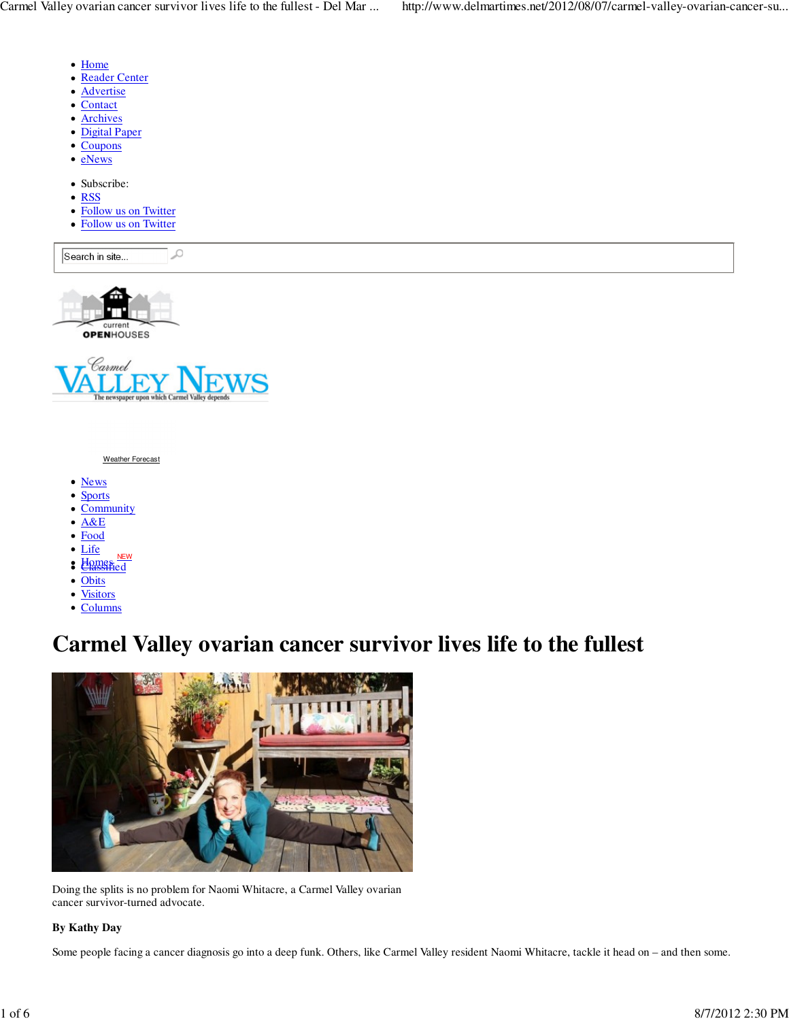- Home
- Reader Center
- Advertise
- Contact
- Archives
- Digital Paper
- Coupons
- eNews
- Subscribe:
- RSS
- Follow us on Twitter
- Follow us on Twitter

₽ Search in site...

OPENHOUSES



#### Weather Forecast

- News
- **Sports**
- Community
- $A&E$
- Food
- Life
- Homes NEW
- Obits
- **Visitors**  $\bullet$
- Columns

# **Carmel Valley ovarian cancer survivor lives life to the fullest**



Doing the splits is no problem for Naomi Whitacre, a Carmel Valley ovarian cancer survivor-turned advocate.

### **By Kathy Day**

Some people facing a cancer diagnosis go into a deep funk. Others, like Carmel Valley resident Naomi Whitacre, tackle it head on – and then some.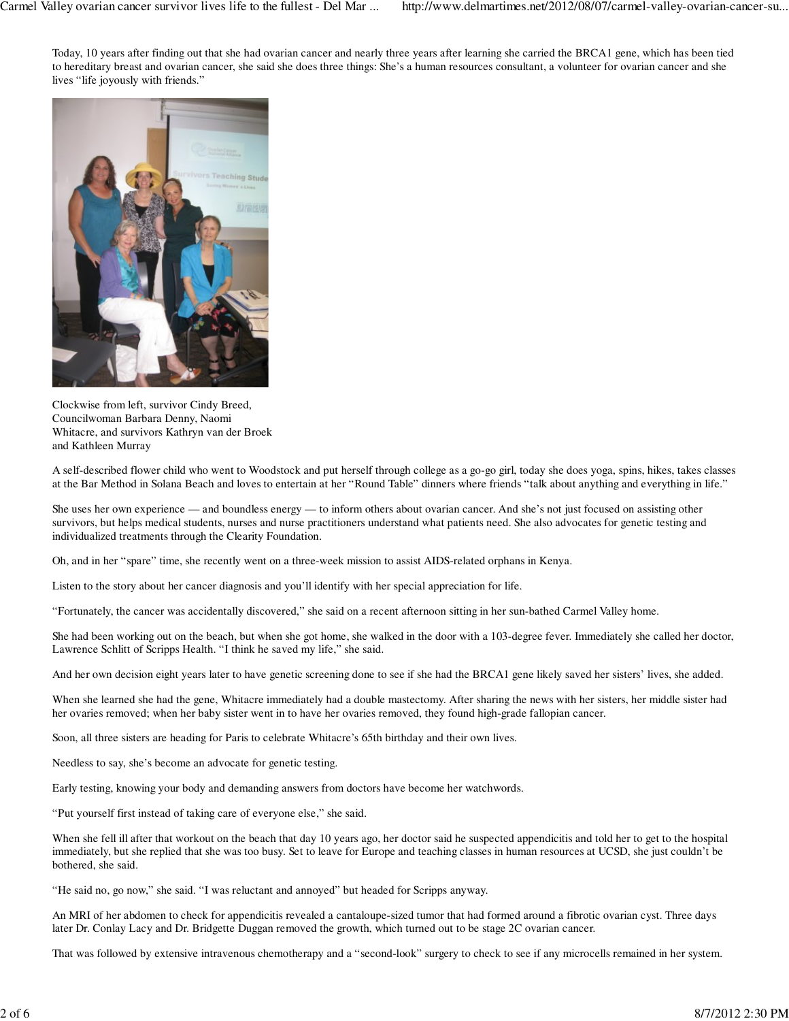Today, 10 years after finding out that she had ovarian cancer and nearly three years after learning she carried the BRCA1 gene, which has been tied to hereditary breast and ovarian cancer, she said she does three things: She's a human resources consultant, a volunteer for ovarian cancer and she lives "life joyously with friends."



Clockwise from left, survivor Cindy Breed, Councilwoman Barbara Denny, Naomi Whitacre, and survivors Kathryn van der Broek and Kathleen Murray

A self-described flower child who went to Woodstock and put herself through college as a go-go girl, today she does yoga, spins, hikes, takes classes at the Bar Method in Solana Beach and loves to entertain at her "Round Table" dinners where friends "talk about anything and everything in life."

She uses her own experience — and boundless energy — to inform others about ovarian cancer. And she's not just focused on assisting other survivors, but helps medical students, nurses and nurse practitioners understand what patients need. She also advocates for genetic testing and individualized treatments through the Clearity Foundation.

Oh, and in her "spare" time, she recently went on a three-week mission to assist AIDS-related orphans in Kenya.

Listen to the story about her cancer diagnosis and you'll identify with her special appreciation for life.

"Fortunately, the cancer was accidentally discovered," she said on a recent afternoon sitting in her sun-bathed Carmel Valley home.

She had been working out on the beach, but when she got home, she walked in the door with a 103-degree fever. Immediately she called her doctor, Lawrence Schlitt of Scripps Health. "I think he saved my life," she said.

And her own decision eight years later to have genetic screening done to see if she had the BRCA1 gene likely saved her sisters' lives, she added.

When she learned she had the gene, Whitacre immediately had a double mastectomy. After sharing the news with her sisters, her middle sister had her ovaries removed; when her baby sister went in to have her ovaries removed, they found high-grade fallopian cancer.

Soon, all three sisters are heading for Paris to celebrate Whitacre's 65th birthday and their own lives.

Needless to say, she's become an advocate for genetic testing.

Early testing, knowing your body and demanding answers from doctors have become her watchwords.

"Put yourself first instead of taking care of everyone else," she said.

When she fell ill after that workout on the beach that day 10 years ago, her doctor said he suspected appendicitis and told her to get to the hospital immediately, but she replied that she was too busy. Set to leave for Europe and teaching classes in human resources at UCSD, she just couldn't be bothered, she said.

"He said no, go now," she said. "I was reluctant and annoyed" but headed for Scripps anyway.

An MRI of her abdomen to check for appendicitis revealed a cantaloupe-sized tumor that had formed around a fibrotic ovarian cyst. Three days later Dr. Conlay Lacy and Dr. Bridgette Duggan removed the growth, which turned out to be stage 2C ovarian cancer.

That was followed by extensive intravenous chemotherapy and a "second-look" surgery to check to see if any microcells remained in her system.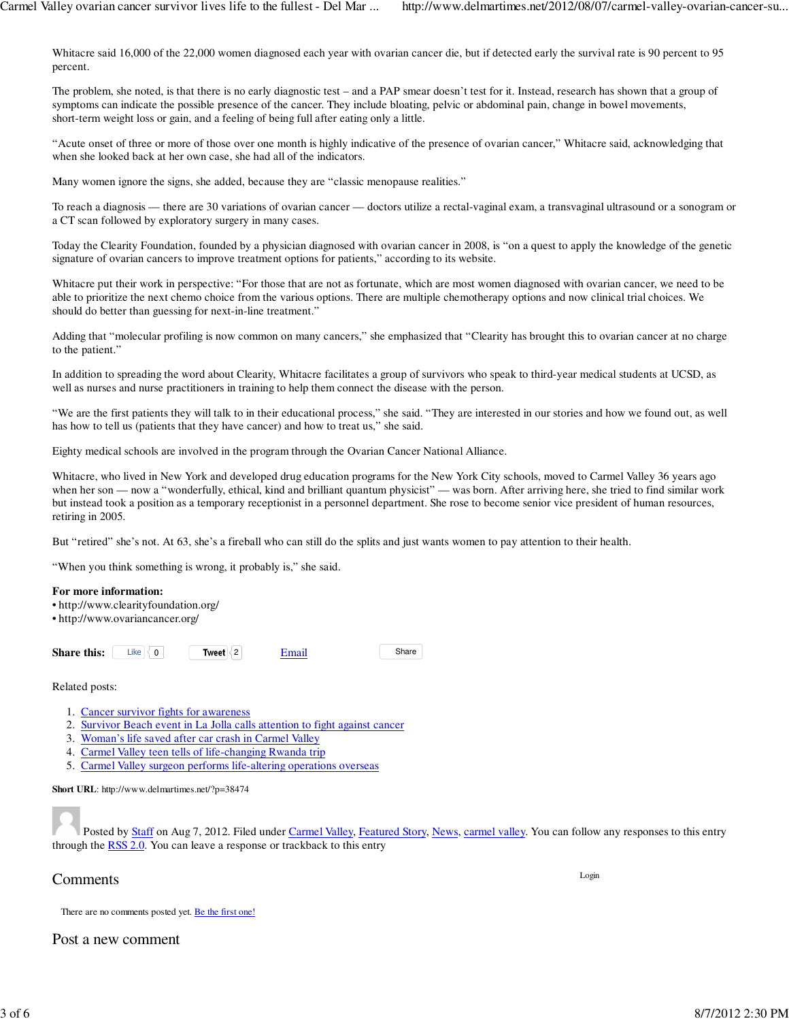Whitacre said 16,000 of the 22,000 women diagnosed each year with ovarian cancer die, but if detected early the survival rate is 90 percent to 95 percent.

The problem, she noted, is that there is no early diagnostic test – and a PAP smear doesn't test for it. Instead, research has shown that a group of symptoms can indicate the possible presence of the cancer. They include bloating, pelvic or abdominal pain, change in bowel movements, short-term weight loss or gain, and a feeling of being full after eating only a little.

"Acute onset of three or more of those over one month is highly indicative of the presence of ovarian cancer," Whitacre said, acknowledging that when she looked back at her own case, she had all of the indicators.

Many women ignore the signs, she added, because they are "classic menopause realities."

To reach a diagnosis — there are 30 variations of ovarian cancer — doctors utilize a rectal-vaginal exam, a transvaginal ultrasound or a sonogram or a CT scan followed by exploratory surgery in many cases.

Today the Clearity Foundation, founded by a physician diagnosed with ovarian cancer in 2008, is "on a quest to apply the knowledge of the genetic signature of ovarian cancers to improve treatment options for patients," according to its website.

Whitacre put their work in perspective: "For those that are not as fortunate, which are most women diagnosed with ovarian cancer, we need to be able to prioritize the next chemo choice from the various options. There are multiple chemotherapy options and now clinical trial choices. We should do better than guessing for next-in-line treatment."

Adding that "molecular profiling is now common on many cancers," she emphasized that "Clearity has brought this to ovarian cancer at no charge to the patient."

In addition to spreading the word about Clearity, Whitacre facilitates a group of survivors who speak to third-year medical students at UCSD, as well as nurses and nurse practitioners in training to help them connect the disease with the person.

"We are the first patients they will talk to in their educational process," she said. "They are interested in our stories and how we found out, as well has how to tell us (patients that they have cancer) and how to treat us," she said.

Eighty medical schools are involved in the program through the Ovarian Cancer National Alliance.

Whitacre, who lived in New York and developed drug education programs for the New York City schools, moved to Carmel Valley 36 years ago when her son - now a "wonderfully, ethical, kind and brilliant quantum physicist" - was born. After arriving here, she tried to find similar work but instead took a position as a temporary receptionist in a personnel department. She rose to become senior vice president of human resources, retiring in 2005.

But "retired" she's not. At 63, she's a fireball who can still do the splits and just wants women to pay attention to their health.

"When you think something is wrong, it probably is," she said.

#### **For more information:**

- http://www.clearityfoundation.org/
- http://www.ovariancancer.org/

**Share this:** Like  $\leq 0$  **Tweet**  $\leq 2$  **Email** Share

Related posts:

- 1. Cancer survivor fights for awareness
- 2. Survivor Beach event in La Jolla calls attention to fight against cancer
- 3. Woman's life saved after car crash in Carmel Valley
- 4. Carmel Valley teen tells of life-changing Rwanda trip
- 5. Carmel Valley surgeon performs life-altering operations overseas

**Short URL**: http://www.delmartimes.net/?p=38474

Posted by Staff on Aug 7, 2012. Filed under Carmel Valley, Featured Story, News, carmel valley. You can follow any responses to this entry through the RSS 2.0. You can leave a response or trackback to this entry

# Comments

Login

There are no comments posted yet. Be the first one!

Post a new comment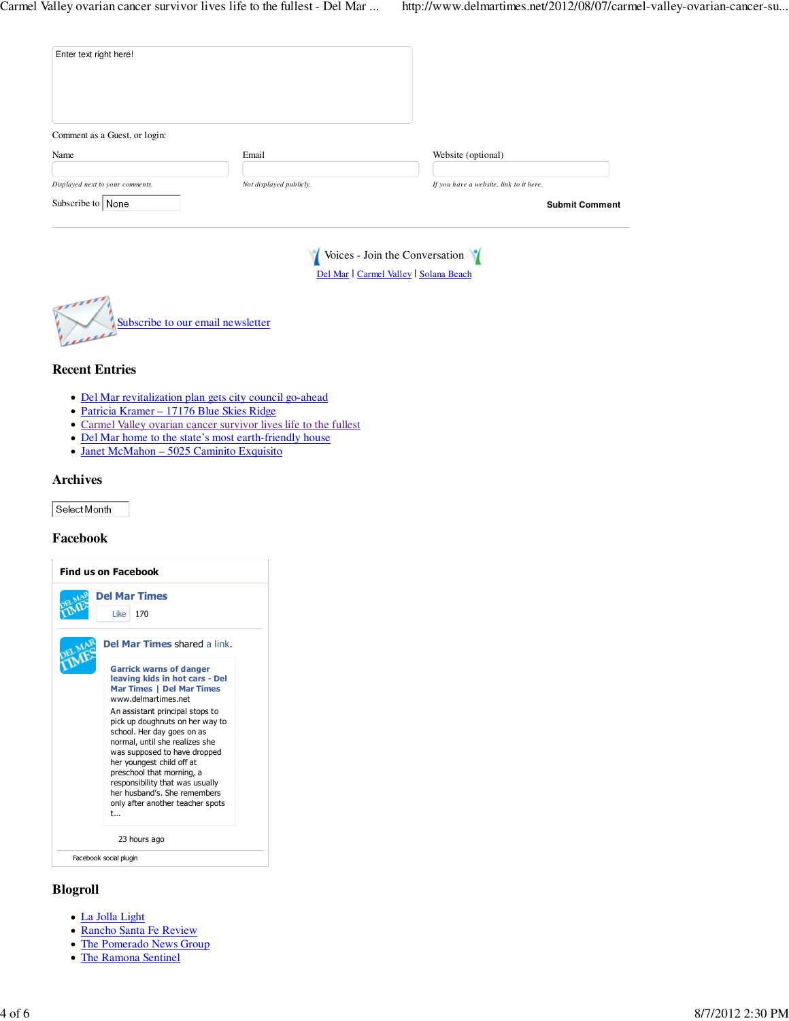| Email                   | Website (optional)                                               |
|-------------------------|------------------------------------------------------------------|
| Not displayed publicly. | If you have a website, link to it here.<br><b>Submit Comment</b> |
|                         |                                                                  |



## **Recent Entries**

- Del Mar revitalization plan gets city council go-ahead
- Patricia Kramer 17176 Blue Skies Ridge
- Carmel Valley ovarian cancer survivor lives life to the fullest
- Del Mar home to the state's most earth-friendly house
- Janet McMahon 5025 Caminito Exquisito

## **Archives**

Select Month

## **Facebook**



## **Blogroll**

- La Jolla Light
- Rancho Santa Fe Review
- The Pomerado News Group
- The Ramona Sentinel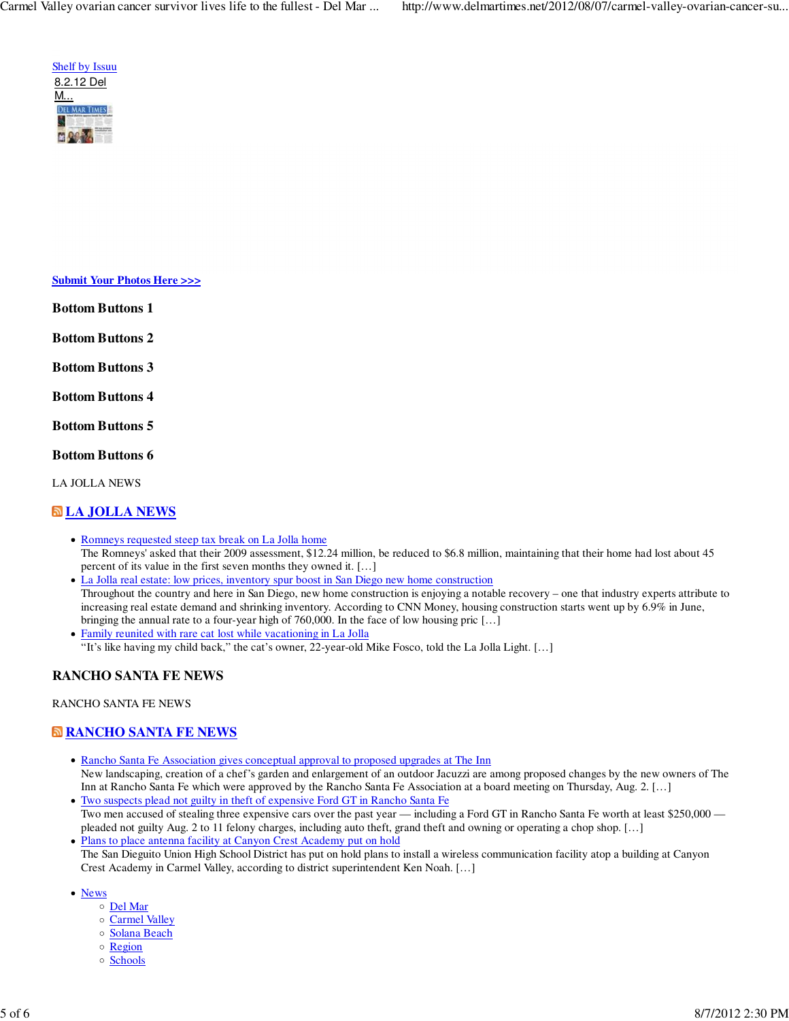

**Submit Your Photos Here >>>**

**Bottom Buttons 1**

**Bottom Buttons 2**

**Bottom Buttons 3**

**Bottom Buttons 4**

**Bottom Buttons 5**

**Bottom Buttons 6**

LA JOLLA NEWS

# **LA JOLLA NEWS**

- Romneys requested steep tax break on La Jolla home The Romneys' asked that their 2009 assessment, \$12.24 million, be reduced to \$6.8 million, maintaining that their home had lost about 45 percent of its value in the first seven months they owned it. […]
- La Jolla real estate: low prices, inventory spur boost in San Diego new home construction Throughout the country and here in San Diego, new home construction is enjoying a notable recovery – one that industry experts attribute to increasing real estate demand and shrinking inventory. According to CNN Money, housing construction starts went up by 6.9% in June, bringing the annual rate to a four-year high of 760,000. In the face of low housing pric [...]
- Family reunited with rare cat lost while vacationing in La Jolla "It's like having my child back," the cat's owner, 22-year-old Mike Fosco, told the La Jolla Light. […]

# **RANCHO SANTA FE NEWS**

#### RANCHO SANTA FE NEWS

# **RANCHO SANTA FE NEWS**

- Rancho Santa Fe Association gives conceptual approval to proposed upgrades at The Inn New landscaping, creation of a chef's garden and enlargement of an outdoor Jacuzzi are among proposed changes by the new owners of The Inn at Rancho Santa Fe which were approved by the Rancho Santa Fe Association at a board meeting on Thursday, Aug. 2. […]
- Two suspects plead not guilty in theft of expensive Ford GT in Rancho Santa Fe Two men accused of stealing three expensive cars over the past year — including a Ford GT in Rancho Santa Fe worth at least \$250,000 pleaded not guilty Aug. 2 to 11 felony charges, including auto theft, grand theft and owning or operating a chop shop. […]
- Plans to place antenna facility at Canyon Crest Academy put on hold The San Dieguito Union High School District has put on hold plans to install a wireless communication facility atop a building at Canyon Crest Academy in Carmel Valley, according to district superintendent Ken Noah. […]
- News
	- Del Mar
	- o Carmel Valley
	- o Solana Beach
	- o Region
	- o Schools